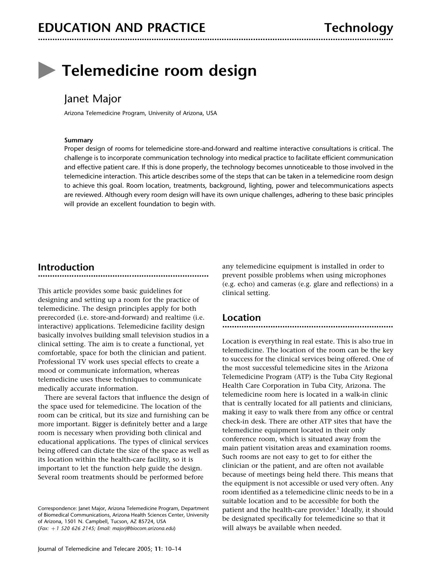### ................................................................................................................................................... EDUCATION AND PRACTICE Technology

# **Telemedicine room design**

## Janet Major

Arizona Telemedicine Program, University of Arizona, USA

#### Summary

Proper design of rooms for telemedicine store-and-forward and realtime interactive consultations is critical. The challenge is to incorporate communication technology into medical practice to facilitate efficient communication and effective patient care. If this is done properly, the technology becomes unnoticeable to those involved in the telemedicine interaction. This article describes some of the steps that can be taken in a telemedicine room design to achieve this goal. Room location, treatments, background, lighting, power and telecommunications aspects are reviewed. Although every room design will have its own unique challenges, adhering to these basic principles will provide an excellent foundation to begin with.

#### ....................................................................... Introduction

#### This article provides some basic guidelines for designing and setting up a room for the practice of telemedicine. The design principles apply for both prerecorded (i.e. store-and-forward) and realtime (i.e. interactive) applications. Telemedicine facility design basically involves building small television studios in a clinical setting. The aim is to create a functional, yet comfortable, space for both the clinician and patient. Professional TV work uses special effects to create a mood or communicate information, whereas telemedicine uses these techniques to communicate medically accurate information.

There are several factors that influence the design of the space used for telemedicine. The location of the room can be critical, but its size and furnishing can be more important. Bigger is definitely better and a large room is necessary when providing both clinical and educational applications. The types of clinical services being offered can dictate the size of the space as well as its location within the health-care facility, so it is important to let the function help guide the design. Several room treatments should be performed before

Correspondence: Janet Major, Arizona Telemedicine Program, Department of Biomedical Communications, Arizona Health Sciences Center, University of Arizona, 1501 N. Campbell, Tucson, AZ 85724, USA (Fax:  $+1$  520 626 2145; Email: majorj@biocom.arizona.edu)

any telemedicine equipment is installed in order to prevent possible problems when using microphones (e.g. echo) and cameras (e.g. glare and reflections) in a clinical setting.

#### ....................................................................... Location

Location is everything in real estate. This is also true in telemedicine. The location of the room can be the key to success for the clinical services being offered. One of the most successful telemedicine sites in the Arizona Telemedicine Program (ATP) is the Tuba City Regional Health Care Corporation in Tuba City, Arizona. The telemedicine room here is located in a walk-in clinic that is centrally located for all patients and clinicians, making it easy to walk there from any office or central check-in desk. There are other ATP sites that have the telemedicine equipment located in their only conference room, which is situated away from the main patient visitation areas and examination rooms. Such rooms are not easy to get to for either the clinician or the patient, and are often not available because of meetings being held there. This means that the equipment is not accessible or used very often. Any room identified as a telemedicine clinic needs to be in a suitable location and to be accessible for both the patient and the health-care provider.<sup>1</sup> Ideally, it should be designated specifically for telemedicine so that it will always be available when needed.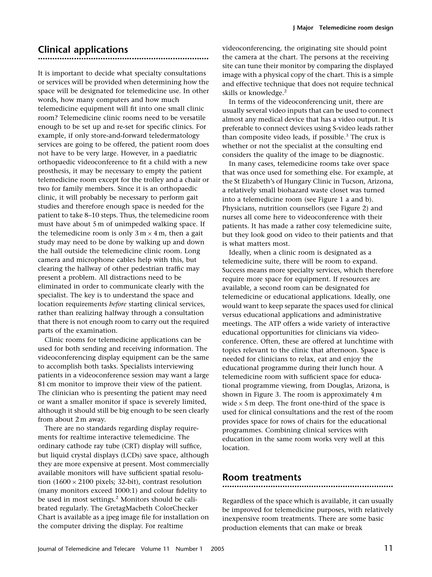#### ....................................................................... Clinical applications

It is important to decide what specialty consultations or services will be provided when determining how the space will be designated for telemedicine use. In other words, how many computers and how much telemedicine equipment will fit into one small clinic room? Telemedicine clinic rooms need to be versatile enough to be set up and re-set for specific clinics. For example, if only store-and-forward teledermatology services are going to be offered, the patient room does not have to be very large. However, in a paediatric orthopaedic videoconference to fit a child with a new prosthesis, it may be necessary to empty the patient telemedicine room except for the trolley and a chair or two for family members. Since it is an orthopaedic clinic, it will probably be necessary to perform gait studies and therefore enough space is needed for the patient to take 8–10 steps. Thus, the telemedicine room must have about 5 m of unimpeded walking space. If the telemedicine room is only  $3 \text{ m} \times 4 \text{ m}$ , then a gait study may need to be done by walking up and down the hall outside the telemedicine clinic room. Long camera and microphone cables help with this, but clearing the hallway of other pedestrian traffic may present a problem. All distractions need to be eliminated in order to communicate clearly with the specialist. The key is to understand the space and location requirements before starting clinical services, rather than realizing halfway through a consultation that there is not enough room to carry out the required parts of the examination.

Clinic rooms for telemedicine applications can be used for both sending and receiving information. The videoconferencing display equipment can be the same to accomplish both tasks. Specialists interviewing patients in a videoconference session may want a large 81 cm monitor to improve their view of the patient. The clinician who is presenting the patient may need or want a smaller monitor if space is severely limited, although it should still be big enough to be seen clearly from about 2 m away.

There are no standards regarding display requirements for realtime interactive telemedicine. The ordinary cathode ray tube (CRT) display will suffice, but liquid crystal displays (LCDs) save space, although they are more expensive at present. Most commercially available monitors will have sufficient spatial resolution  $(1600 \times 2100$  pixels; 32-bit), contrast resolution (many monitors exceed 1000:1) and colour fidelity to be used in most settings.<sup>2</sup> Monitors should be calibrated regularly. The GretagMacbeth ColorChecker Chart is available as a jpeg image file for installation on the computer driving the display. For realtime

videoconferencing, the originating site should point the camera at the chart. The persons at the receiving site can tune their monitor by comparing the displayed image with a physical copy of the chart. This is a simple and effective technique that does not require technical skills or knowledge.<sup>2</sup>

In terms of the videoconferencing unit, there are usually several video inputs that can be used to connect almost any medical device that has a video output. It is preferable to connect devices using S-video leads rather than composite video leads, if possible.<sup>3</sup> The crux is whether or not the specialist at the consulting end considers the quality of the image to be diagnostic.

In many cases, telemedicine rooms take over space that was once used for something else. For example, at the St Elizabeth's of Hungary Clinic in Tucson, Arizona, a relatively small biohazard waste closet was turned into a telemedicine room (see Figure 1 a and b). Physicians, nutrition counsellors (see Figure 2) and nurses all come here to videoconference with their patients. It has made a rather cosy telemedicine suite, but they look good on video to their patients and that is what matters most.

Ideally, when a clinic room is designated as a telemedicine suite, there will be room to expand. Success means more specialty services, which therefore require more space for equipment. If resources are available, a second room can be designated for telemedicine or educational applications. Ideally, one would want to keep separate the spaces used for clinical versus educational applications and administrative meetings. The ATP offers a wide variety of interactive educational opportunities for clinicians via videoconference. Often, these are offered at lunchtime with topics relevant to the clinic that afternoon. Space is needed for clinicians to relax, eat and enjoy the educational programme during their lunch hour. A telemedicine room with sufficient space for educational programme viewing, from Douglas, Arizona, is shown in Figure 3. The room is approximately 4 m wide  $\times$  5 m deep. The front one-third of the space is used for clinical consultations and the rest of the room provides space for rows of chairs for the educational programmes. Combining clinical services with education in the same room works very well at this location.

#### Room treatments

Regardless of the space which is available, it can usually be improved for telemedicine purposes, with relatively inexpensive room treatments. There are some basic production elements that can make or break

.......................................................................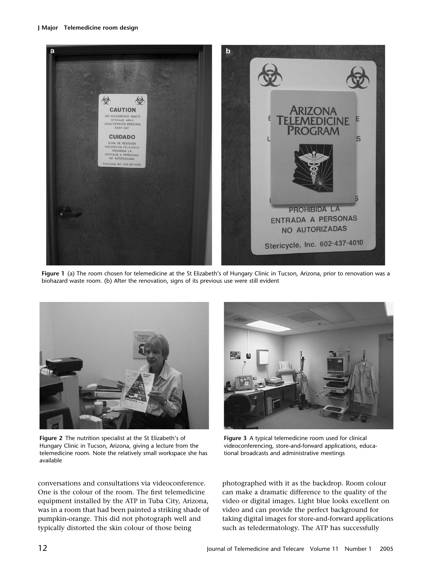

Figure 1 (a) The room chosen for telemedicine at the St Elizabeth's of Hungary Clinic in Tucson, Arizona, prior to renovation was a biohazard waste room. (b) After the renovation, signs of its previous use were still evident



Figure 2 The nutrition specialist at the St Elizabeth's of Hungary Clinic in Tucson, Arizona, giving a lecture from the telemedicine room. Note the relatively small workspace she has available

conversations and consultations via videoconference. One is the colour of the room. The first telemedicine equipment installed by the ATP in Tuba City, Arizona, was in a room that had been painted a striking shade of pumpkin-orange. This did not photograph well and typically distorted the skin colour of those being



Figure 3 A typical telemedicine room used for clinical videoconferencing, store-and-forward applications, educational broadcasts and administrative meetings

photographed with it as the backdrop. Room colour can make a dramatic difference to the quality of the video or digital images. Light blue looks excellent on video and can provide the perfect background for taking digital images for store-and-forward applications such as teledermatology. The ATP has successfully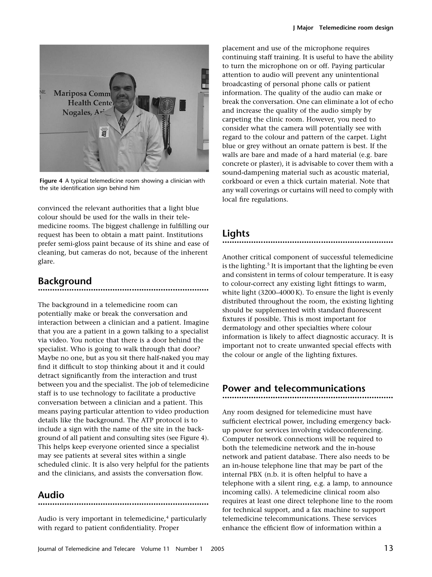

Figure 4 A typical telemedicine room showing a clinician with the site identification sign behind him

convinced the relevant authorities that a light blue colour should be used for the walls in their telemedicine rooms. The biggest challenge in fulfilling our request has been to obtain a matt paint. Institutions prefer semi-gloss paint because of its shine and ease of cleaning, but cameras do not, because of the inherent glare.

#### ....................................................................... Background

The background in a telemedicine room can potentially make or break the conversation and interaction between a clinician and a patient. Imagine that you are a patient in a gown talking to a specialist via video. You notice that there is a door behind the specialist. Who is going to walk through that door? Maybe no one, but as you sit there half-naked you may find it difficult to stop thinking about it and it could detract significantly from the interaction and trust between you and the specialist. The job of telemedicine staff is to use technology to facilitate a productive conversation between a clinician and a patient. This means paying particular attention to video production details like the background. The ATP protocol is to include a sign with the name of the site in the background of all patient and consulting sites (see Figure 4). This helps keep everyone oriented since a specialist may see patients at several sites within a single scheduled clinic. It is also very helpful for the patients and the clinicians, and assists the conversation flow.

## Audio

.......................................................................

Audio is very important in telemedicine, $4$  particularly with regard to patient confidentiality. Proper

placement and use of the microphone requires continuing staff training. It is useful to have the ability to turn the microphone on or off. Paying particular attention to audio will prevent any unintentional broadcasting of personal phone calls or patient information. The quality of the audio can make or break the conversation. One can eliminate a lot of echo and increase the quality of the audio simply by carpeting the clinic room. However, you need to consider what the camera will potentially see with regard to the colour and pattern of the carpet. Light blue or grey without an ornate pattern is best. If the walls are bare and made of a hard material (e.g. bare concrete or plaster), it is advisable to cover them with a sound-dampening material such as acoustic material, corkboard or even a thick curtain material. Note that any wall coverings or curtains will need to comply with local fire regulations.

#### ....................................................................... Lights

Another critical component of successful telemedicine is the lighting.<sup>5</sup> It is important that the lighting be even and consistent in terms of colour temperature. It is easy to colour-correct any existing light fittings to warm, white light (3200–4000 K). To ensure the light is evenly distributed throughout the room, the existing lighting should be supplemented with standard fluorescent fixtures if possible. This is most important for dermatology and other specialties where colour information is likely to affect diagnostic accuracy. It is important not to create unwanted special effects with the colour or angle of the lighting fixtures.

#### ....................................................................... Power and telecommunications

Any room designed for telemedicine must have sufficient electrical power, including emergency backup power for services involving videoconferencing. Computer network connections will be required to both the telemedicine network and the in-house network and patient database. There also needs to be an in-house telephone line that may be part of the internal PBX (n.b. it is often helpful to have a telephone with a silent ring, e.g. a lamp, to announce incoming calls). A telemedicine clinical room also requires at least one direct telephone line to the room for technical support, and a fax machine to support telemedicine telecommunications. These services enhance the efficient flow of information within a